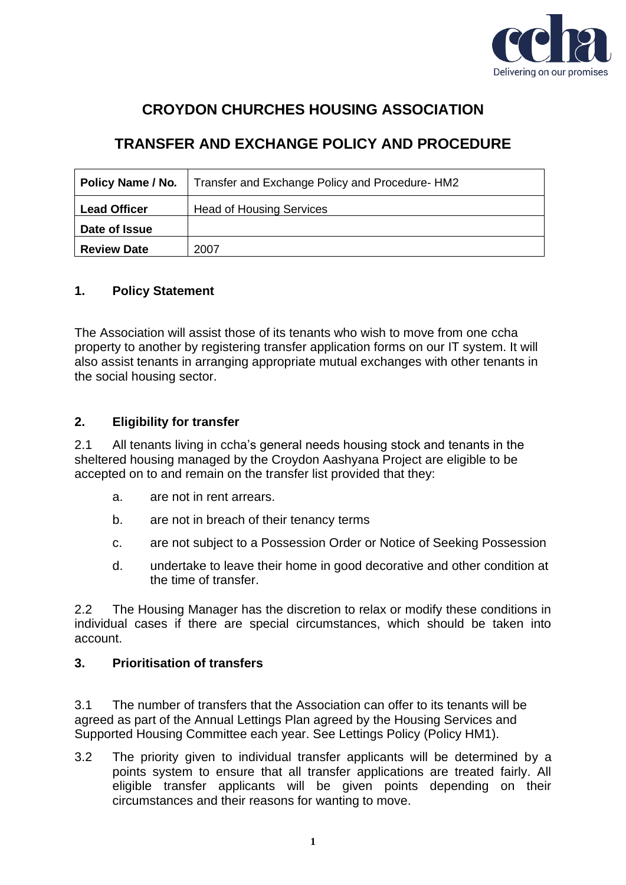

# **CROYDON CHURCHES HOUSING ASSOCIATION**

# **TRANSFER AND EXCHANGE POLICY AND PROCEDURE**

| Policy Name / No.   | Transfer and Exchange Policy and Procedure-HM2 |
|---------------------|------------------------------------------------|
| <b>Lead Officer</b> | <b>Head of Housing Services</b>                |
| Date of Issue       |                                                |
| <b>Review Date</b>  | 2007                                           |

# **1. Policy Statement**

The Association will assist those of its tenants who wish to move from one ccha property to another by registering transfer application forms on our IT system. It will also assist tenants in arranging appropriate mutual exchanges with other tenants in the social housing sector.

# **2. Eligibility for transfer**

2.1 All tenants living in ccha's general needs housing stock and tenants in the sheltered housing managed by the Croydon Aashyana Project are eligible to be accepted on to and remain on the transfer list provided that they:

- a. are not in rent arrears.
- b. are not in breach of their tenancy terms
- c. are not subject to a Possession Order or Notice of Seeking Possession
- d. undertake to leave their home in good decorative and other condition at the time of transfer.

2.2 The Housing Manager has the discretion to relax or modify these conditions in individual cases if there are special circumstances, which should be taken into account.

# **3. Prioritisation of transfers**

3.1 The number of transfers that the Association can offer to its tenants will be agreed as part of the Annual Lettings Plan agreed by the Housing Services and Supported Housing Committee each year. See Lettings Policy (Policy HM1).

3.2 The priority given to individual transfer applicants will be determined by a points system to ensure that all transfer applications are treated fairly. All eligible transfer applicants will be given points depending on their circumstances and their reasons for wanting to move.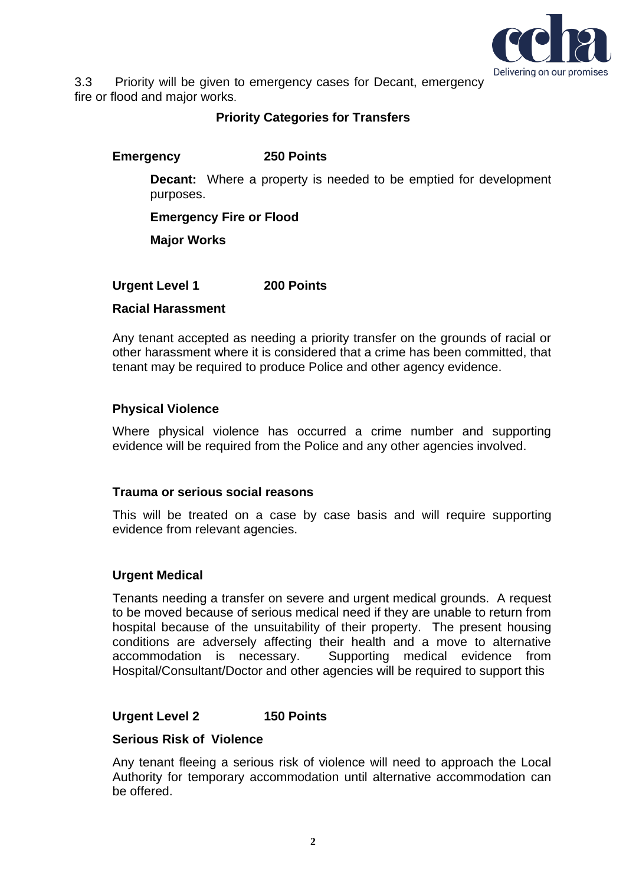

3.3 Priority will be given to emergency cases for Decant, emergency fire or flood and major works.

## **Priority Categories for Transfers**

# **Emergency 250 Points**

**Decant:** Where a property is needed to be emptied for development purposes.

**Emergency Fire or Flood**

**Major Works**

**Urgent Level 1 200 Points**

## **Racial Harassment**

Any tenant accepted as needing a priority transfer on the grounds of racial or other harassment where it is considered that a crime has been committed, that tenant may be required to produce Police and other agency evidence.

## **Physical Violence**

Where physical violence has occurred a crime number and supporting evidence will be required from the Police and any other agencies involved.

## **Trauma or serious social reasons**

This will be treated on a case by case basis and will require supporting evidence from relevant agencies.

#### **Urgent Medical**

Tenants needing a transfer on severe and urgent medical grounds. A request to be moved because of serious medical need if they are unable to return from hospital because of the unsuitability of their property. The present housing conditions are adversely affecting their health and a move to alternative accommodation is necessary. Supporting medical evidence from Hospital/Consultant/Doctor and other agencies will be required to support this

## **Urgent Level 2 150 Points**

#### **Serious Risk of Violence**

Any tenant fleeing a serious risk of violence will need to approach the Local Authority for temporary accommodation until alternative accommodation can be offered.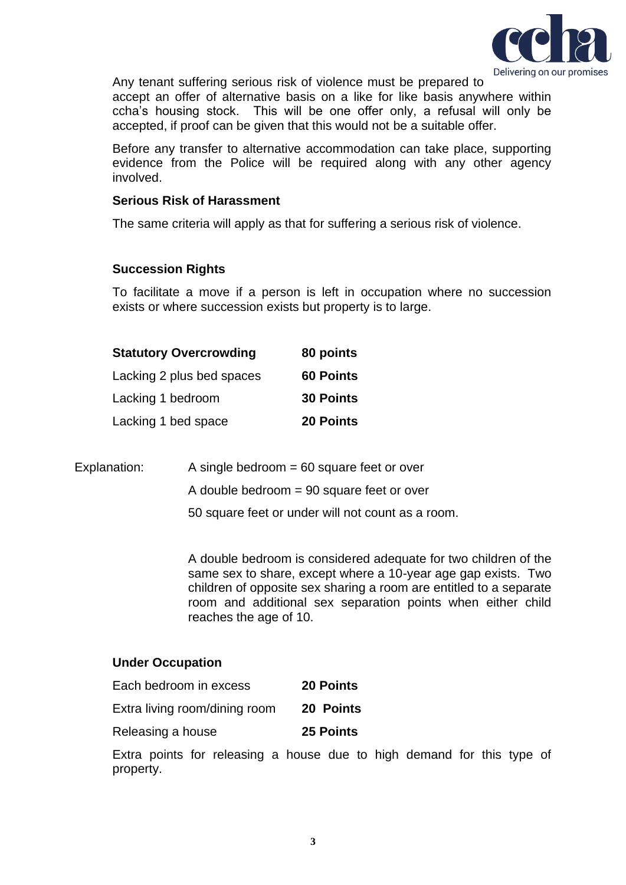

Any tenant suffering serious risk of violence must be prepared to

accept an offer of alternative basis on a like for like basis anywhere within ccha's housing stock. This will be one offer only, a refusal will only be accepted, if proof can be given that this would not be a suitable offer.

Before any transfer to alternative accommodation can take place, supporting evidence from the Police will be required along with any other agency involved.

#### **Serious Risk of Harassment**

The same criteria will apply as that for suffering a serious risk of violence.

## **Succession Rights**

To facilitate a move if a person is left in occupation where no succession exists or where succession exists but property is to large.

| <b>Statutory Overcrowding</b> | 80 points        |
|-------------------------------|------------------|
| Lacking 2 plus bed spaces     | <b>60 Points</b> |
| Lacking 1 bedroom             | <b>30 Points</b> |
| Lacking 1 bed space           | 20 Points        |

| Explanation: | A single bedroom $= 60$ square feet or over       |
|--------------|---------------------------------------------------|
|              | A double bedroom $= 90$ square feet or over       |
|              | 50 square feet or under will not count as a room. |

A double bedroom is considered adequate for two children of the same sex to share, except where a 10-year age gap exists. Two children of opposite sex sharing a room are entitled to a separate room and additional sex separation points when either child reaches the age of 10.

#### **Under Occupation**

| Each bedroom in excess        | <b>20 Points</b> |
|-------------------------------|------------------|
| Extra living room/dining room | 20 Points        |
| Releasing a house             | 25 Points        |

Extra points for releasing a house due to high demand for this type of property.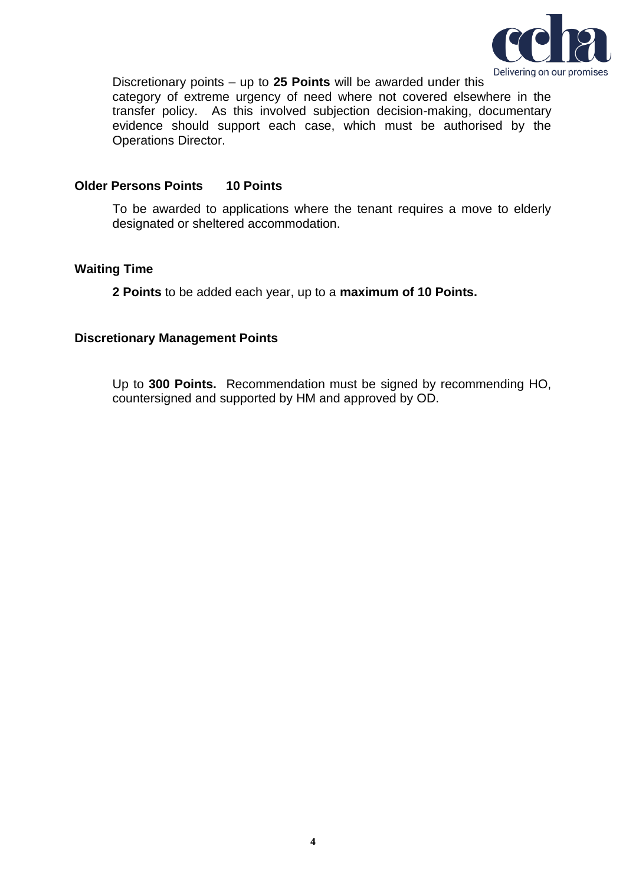

Discretionary points – up to **25 Points** will be awarded under this category of extreme urgency of need where not covered elsewhere in the transfer policy. As this involved subjection decision-making, documentary evidence should support each case, which must be authorised by the Operations Director.

## **Older Persons Points 10 Points**

To be awarded to applications where the tenant requires a move to elderly designated or sheltered accommodation.

## **Waiting Time**

**2 Points** to be added each year, up to a **maximum of 10 Points.**

## **Discretionary Management Points**

Up to **300 Points.** Recommendation must be signed by recommending HO, countersigned and supported by HM and approved by OD.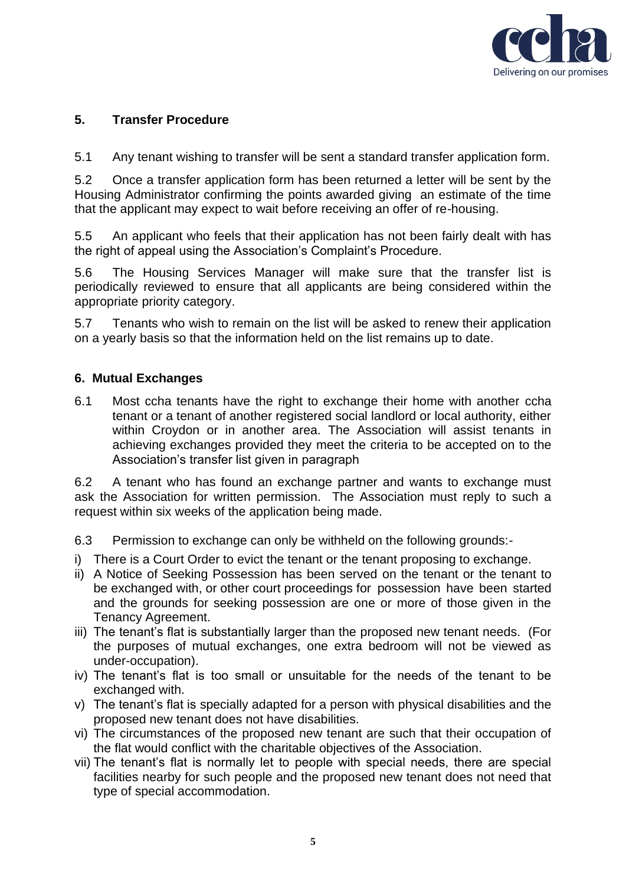

# **5. Transfer Procedure**

5.1 Any tenant wishing to transfer will be sent a standard transfer application form.

5.2 Once a transfer application form has been returned a letter will be sent by the Housing Administrator confirming the points awarded giving an estimate of the time that the applicant may expect to wait before receiving an offer of re-housing.

5.5 An applicant who feels that their application has not been fairly dealt with has the right of appeal using the Association's Complaint's Procedure.

5.6 The Housing Services Manager will make sure that the transfer list is periodically reviewed to ensure that all applicants are being considered within the appropriate priority category.

5.7 Tenants who wish to remain on the list will be asked to renew their application on a yearly basis so that the information held on the list remains up to date.

## **6. Mutual Exchanges**

6.1 Most ccha tenants have the right to exchange their home with another ccha tenant or a tenant of another registered social landlord or local authority, either within Croydon or in another area. The Association will assist tenants in achieving exchanges provided they meet the criteria to be accepted on to the Association's transfer list given in paragraph

6.2 A tenant who has found an exchange partner and wants to exchange must ask the Association for written permission. The Association must reply to such a request within six weeks of the application being made.

6.3 Permission to exchange can only be withheld on the following grounds:-

- i) There is a Court Order to evict the tenant or the tenant proposing to exchange.
- ii) A Notice of Seeking Possession has been served on the tenant or the tenant to be exchanged with, or other court proceedings for possession have been started and the grounds for seeking possession are one or more of those given in the Tenancy Agreement.
- iii) The tenant's flat is substantially larger than the proposed new tenant needs. (For the purposes of mutual exchanges, one extra bedroom will not be viewed as under-occupation).
- iv) The tenant's flat is too small or unsuitable for the needs of the tenant to be exchanged with.
- v) The tenant's flat is specially adapted for a person with physical disabilities and the proposed new tenant does not have disabilities.
- vi) The circumstances of the proposed new tenant are such that their occupation of the flat would conflict with the charitable objectives of the Association.
- vii) The tenant's flat is normally let to people with special needs, there are special facilities nearby for such people and the proposed new tenant does not need that type of special accommodation.